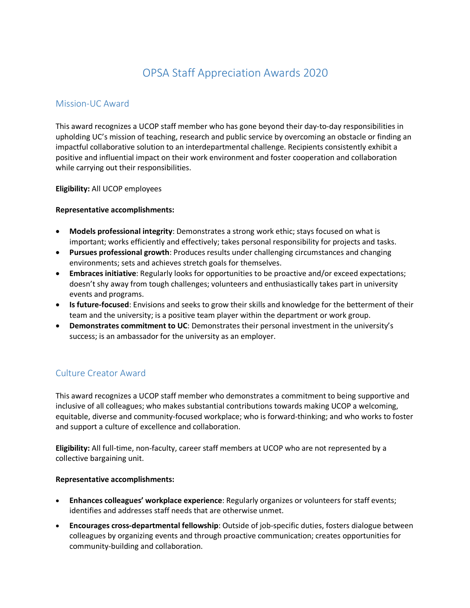# OPSA Staff Appreciation Awards 2020

### Mission-UC Award

This award recognizes a UCOP staff member who has gone beyond their day-to-day responsibilities in upholding UC's mission of teaching, research and public service by overcoming an obstacle or finding an impactful collaborative solution to an interdepartmental challenge. Recipients consistently exhibit a positive and influential impact on their work environment and foster cooperation and collaboration while carrying out their responsibilities.

**Eligibility:** All UCOP employees

### **Representative accomplishments:**

- **Models professional integrity**: Demonstrates a strong work ethic; stays focused on what is important; works efficiently and effectively; takes personal responsibility for projects and tasks.
- **Pursues professional growth**: Produces results under challenging circumstances and changing environments; sets and achieves stretch goals for themselves.
- **Embraces initiative**: Regularly looks for opportunities to be proactive and/or exceed expectations; doesn't shy away from tough challenges; volunteers and enthusiastically takes part in university events and programs.
- **Is future-focused**: Envisions and seeks to grow their skills and knowledge for the betterment of their team and the university; is a positive team player within the department or work group.
- **Demonstrates commitment to UC**: Demonstrates their personal investment in the university's success; is an ambassador for the university as an employer.

## Culture Creator Award

This award recognizes a UCOP staff member who demonstrates a commitment to being supportive and inclusive of all colleagues; who makes substantial contributions towards making UCOP a welcoming, equitable, diverse and community-focused workplace; who is forward-thinking; and who works to foster and support a culture of excellence and collaboration.

**Eligibility:** All full-time, non-faculty, career staff members at UCOP who are not represented by a collective bargaining unit.

#### **Representative accomplishments:**

- **Enhances colleagues' workplace experience**: Regularly organizes or volunteers for staff events; identifies and addresses staff needs that are otherwise unmet.
- **Encourages cross-departmental fellowship**: Outside of job-specific duties, fosters dialogue between colleagues by organizing events and through proactive communication; creates opportunities for community-building and collaboration.